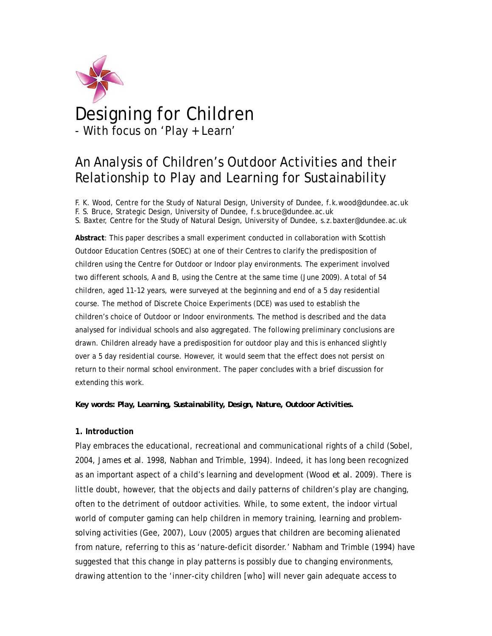

# Designing for Children - With focus on 'Play + Learn'

# An Analysis of Children's Outdoor Activities and their Relationship to Play and Learning for Sustainability

F. K. Wood, Centre for the Study of Natural Design, University of Dundee, f.k.wood@dundee.ac.uk F. S. Bruce, Strategic Design, University of Dundee, f.s.bruce@dundee.ac.uk S. Baxter, Centre for the Study of Natural Design, University of Dundee, s.z.baxter@dundee.ac.uk

**Abstract**: This paper describes a small experiment conducted in collaboration with Scottish Outdoor Education Centres (SOEC) at one of their Centres to clarify the predisposition of children using the Centre for Outdoor or Indoor play environments. The experiment involved two different schools, A and B, using the Centre at the same time (June 2009). A total of 54 children, aged 11-12 years, were surveyed at the beginning and end of a 5 day residential course. The method of Discrete Choice Experiments (DCE) was used to establish the children's choice of Outdoor or Indoor environments. The method is described and the data analysed for individual schools and also aggregated. The following preliminary conclusions are drawn. Children already have a predisposition for outdoor play and this is enhanced slightly over a 5 day residential course. However, it would seem that the effect does not persist on return to their normal school environment. The paper concludes with a brief discussion for extending this work.

*Key words: Play, Learning, Sustainability, Design, Nature, Outdoor Activities.* 

## **1. Introduction**

Play embraces the educational, recreational and communicational rights of a child (Sobel, 2004, James *et al*. 1998, Nabhan and Trimble, 1994). Indeed, it has long been recognized as an important aspect of a child's learning and development (Wood *et al.* 2009). There is little doubt, however, that the objects and daily patterns of children's play are changing, often to the detriment of outdoor activities. While, to some extent, the indoor virtual world of computer gaming can help children in memory training, learning and problemsolving activities (Gee, 2007), Louv (2005) argues that children are becoming alienated from nature, referring to this as 'nature-deficit disorder.' Nabham and Trimble (1994) have suggested that this change in play patterns is possibly due to changing environments, drawing attention to the 'inner-city children [who] will never gain adequate access to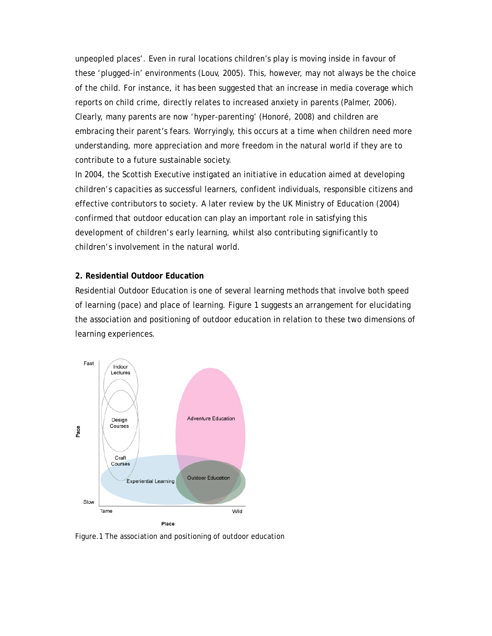unpeopled places'. Even in rural locations children's play is moving inside in favour of these 'plugged-in' environments (Louv, 2005). This, however, may not always be the choice of the child. For instance, it has been suggested that an increase in media coverage which reports on child crime, directly relates to increased anxiety in parents (Palmer, 2006). Clearly, many parents are now 'hyper-parenting' (Honoré, 2008) and children are embracing their parent's fears. Worryingly, this occurs at a time when children need more understanding, more appreciation and more freedom in the natural world if they are to contribute to a future sustainable society.

In 2004, the Scottish Executive instigated an initiative in education aimed at developing children's capacities as successful learners, confident individuals, responsible citizens and effective contributors to society. A later review by the UK Ministry of Education (2004) confirmed that outdoor education can play an important role in satisfying this development of children's early learning, whilst also contributing significantly to children's involvement in the natural world.

#### **2. Residential Outdoor Education**

Residential Outdoor Education is one of several learning methods that involve both speed of learning (pace) and place of learning. Figure 1 suggests an arrangement for elucidating the association and positioning of outdoor education in relation to these two dimensions of learning experiences.



Figure.1 The association and positioning of outdoor education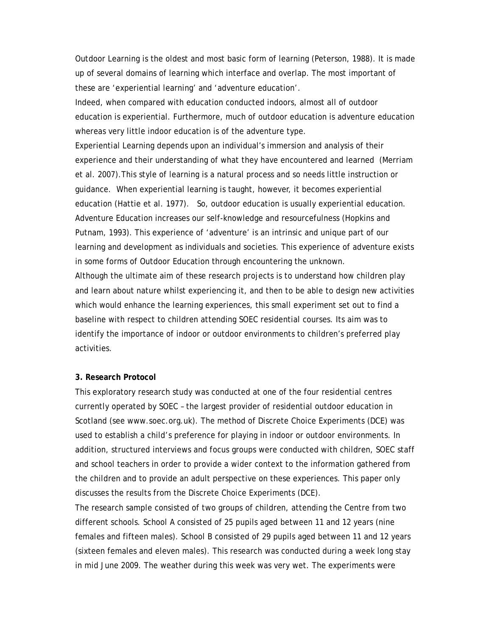Outdoor Learning is the oldest and most basic form of learning (Peterson, 1988). It is made up of several domains of learning which interface and overlap. The most important of these are 'experiential learning' and 'adventure education'.

Indeed, when compared with education conducted indoors, almost all of outdoor education is experiential. Furthermore, much of outdoor education is adventure education whereas very little indoor education is of the adventure type.

Experiential Learning depends upon an individual's immersion and analysis of their experience and their understanding of what they have encountered and learned (Merriam et al. 2007).This style of learning is a natural process and so needs little instruction or guidance. When experiential learning is taught, however, it becomes experiential education (Hattie et al. 1977). So, outdoor education is usually experiential education. Adventure Education increases our self-knowledge and resourcefulness (Hopkins and Putnam, 1993). This experience of 'adventure' is an intrinsic and unique part of our learning and development as individuals and societies. This experience of adventure exists in some forms of Outdoor Education through encountering the unknown.

Although the ultimate aim of these research projects is to understand how children play and learn about nature whilst experiencing it, and then to be able to design new activities which would enhance the learning experiences, this small experiment set out to find a baseline with respect to children attending SOEC residential courses. Its aim was to identify the importance of indoor or outdoor environments to children's preferred play activities.

#### **3. Research Protocol**

This exploratory research study was conducted at one of the four residential centres currently operated by SOEC – the largest provider of residential outdoor education in Scotland (see www.soec.org.uk). The method of Discrete Choice Experiments (DCE) was used to establish a child's preference for playing in indoor or outdoor environments. In addition, structured interviews and focus groups were conducted with children, SOEC staff and school teachers in order to provide a wider context to the information gathered from the children and to provide an adult perspective on these experiences. This paper only discusses the results from the Discrete Choice Experiments (DCE).

The research sample consisted of two groups of children, attending the Centre from two different schools. School A consisted of 25 pupils aged between 11 and 12 years (nine females and fifteen males). School B consisted of 29 pupils aged between 11 and 12 years (sixteen females and eleven males). This research was conducted during a week long stay in mid June 2009. The weather during this week was very wet. The experiments were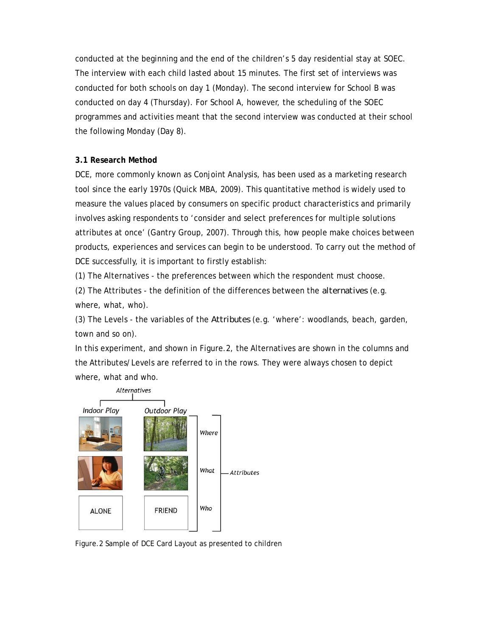conducted at the beginning and the end of the children's 5 day residential stay at SOEC. The interview with each child lasted about 15 minutes. The first set of interviews was conducted for both schools on day 1 (Monday). The second interview for School B was conducted on day 4 (Thursday). For School A, however, the scheduling of the SOEC programmes and activities meant that the second interview was conducted at their school the following Monday (Day 8).

# **3.1 Research Method**

DCE, more commonly known as Conjoint Analysis, has been used as a marketing research tool since the early 1970s (Quick MBA, 2009). This quantitative method is widely used to measure the values placed by consumers on specific product characteristics and primarily involves asking respondents to 'consider and select preferences for multiple solutions attributes at once' (Gantry Group, 2007). Through this, how people make choices between products, experiences and services can begin to be understood. To carry out the method of DCE successfully, it is important to firstly establish:

(1) The Alternatives - the preferences between which the respondent must choose.

(2) The Attributes - the definition of the differences between the *alternatives* (e.g. where, what, who).

(3) The Levels - the variables of the *Attributes* (e.g. 'where': woodlands, beach, garden, town and so on).

In this experiment, and shown in Figure.2, the Alternatives are shown in the columns and the Attributes/Levels are referred to in the rows. They were always chosen to depict where, what and who.



Figure.2 Sample of DCE Card Layout as presented to children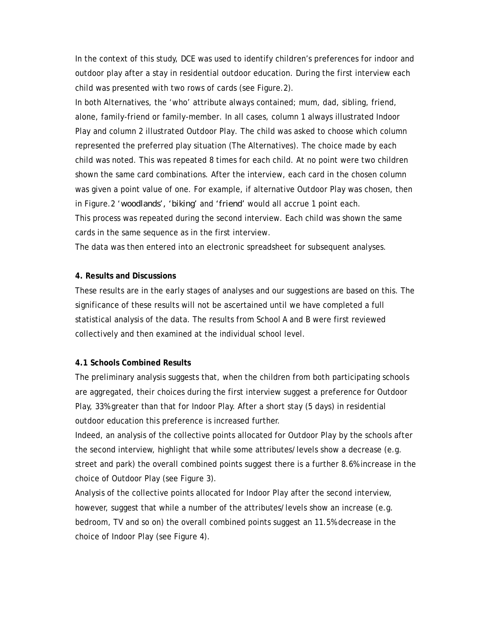In the context of this study, DCE was used to identify children's preferences for indoor and outdoor play after a stay in residential outdoor education. During the first interview each child was presented with two rows of cards (see Figure.2).

In both Alternatives, the 'who' attribute always contained; mum, dad, sibling, friend, alone, family-friend or family-member. In all cases, column 1 always illustrated Indoor Play and column 2 illustrated Outdoor Play. The child was asked to choose which column represented the preferred play situation (The Alternatives). The choice made by each child was noted. This was repeated 8 times for each child. At no point were two children shown the same card combinations. After the interview, each card in the chosen column was given a point value of one. For example, if alternative Outdoor Play was chosen, then in Figure.2 '*woodlands', 'biking'* and *'friend'* would all accrue 1 point each. This process was repeated during the second interview. Each child was shown the same cards in the same sequence as in the first interview.

The data was then entered into an electronic spreadsheet for subsequent analyses.

## **4. Results and Discussions**

These results are in the early stages of analyses and our suggestions are based on this. The significance of these results will not be ascertained until we have completed a full statistical analysis of the data. The results from School A and B were first reviewed collectively and then examined at the individual school level.

# **4.1 Schools Combined Results**

The preliminary analysis suggests that, when the children from both participating schools are aggregated, their choices during the first interview suggest a preference for Outdoor Play, 33% greater than that for Indoor Play. After a short stay (5 days) in residential outdoor education this preference is increased further.

Indeed, an analysis of the collective points allocated for Outdoor Play by the schools after the second interview, highlight that while some attributes/levels show a decrease (e.g. street and park) the overall combined points suggest there is a further 8.6% increase in the choice of Outdoor Play (see Figure 3).

Analysis of the collective points allocated for Indoor Play after the second interview, however, suggest that while a number of the attributes/levels show an increase (e.g. bedroom, TV and so on) the overall combined points suggest an 11.5% decrease in the choice of Indoor Play (see Figure 4).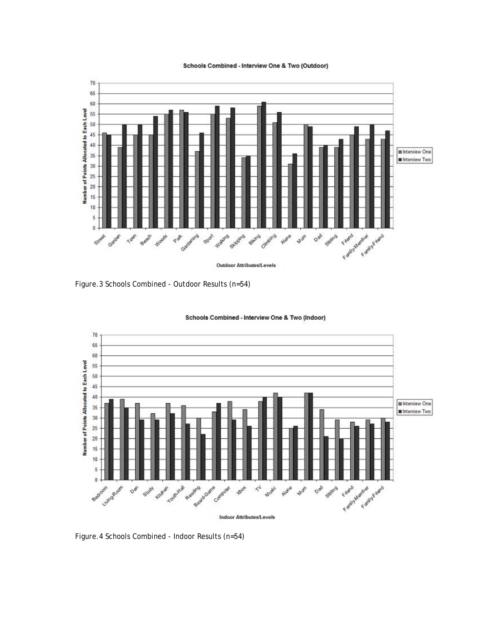#### Schools Combined - Interview One & Two (Outdoor)



Figure.3 Schools Combined - Outdoor Results (n=54)



Schools Combined - Interview One & Two (Indoor)

Figure.4 Schools Combined - Indoor Results (n=54)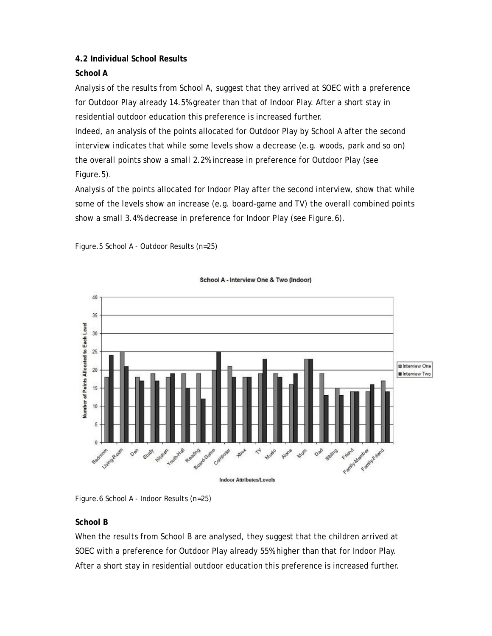# **4.2 Individual School Results**

# **School A**

Analysis of the results from School A, suggest that they arrived at SOEC with a preference for Outdoor Play already 14.5% greater than that of Indoor Play. After a short stay in residential outdoor education this preference is increased further.

Indeed, an analysis of the points allocated for Outdoor Play by School A after the second interview indicates that while some levels show a decrease (e.g. woods, park and so on) the overall points show a small 2.2% increase in preference for Outdoor Play (see Figure.5).

Analysis of the points allocated for Indoor Play after the second interview, show that while some of the levels show an increase (e.g. board-game and TV) the overall combined points show a small 3.4% decrease in preference for Indoor Play (see Figure.6).



Figure.5 School A - Outdoor Results (n=25)

Figure.6 School A - Indoor Results (n=25)

# **School B**

When the results from School B are analysed, they suggest that the children arrived at SOEC with a preference for Outdoor Play already 55% higher than that for Indoor Play. After a short stay in residential outdoor education this preference is increased further.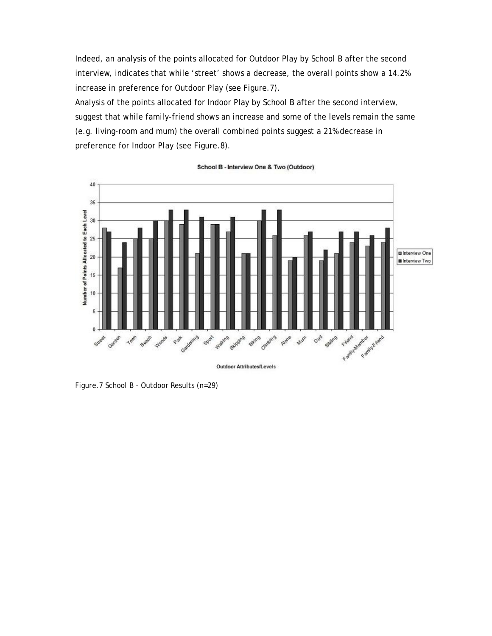Indeed, an analysis of the points allocated for Outdoor Play by School B after the second interview, indicates that while 'street' shows a decrease, the overall points show a 14.2% increase in preference for Outdoor Play (see Figure.7).

Analysis of the points allocated for Indoor Play by School B after the second interview, suggest that while family-friend shows an increase and some of the levels remain the same (e.g. living-room and mum) the overall combined points suggest a 21% decrease in preference for Indoor Play (see Figure.8).



School B - Interview One & Two (Outdoor)

Figure.7 School B - Outdoor Results (n=29)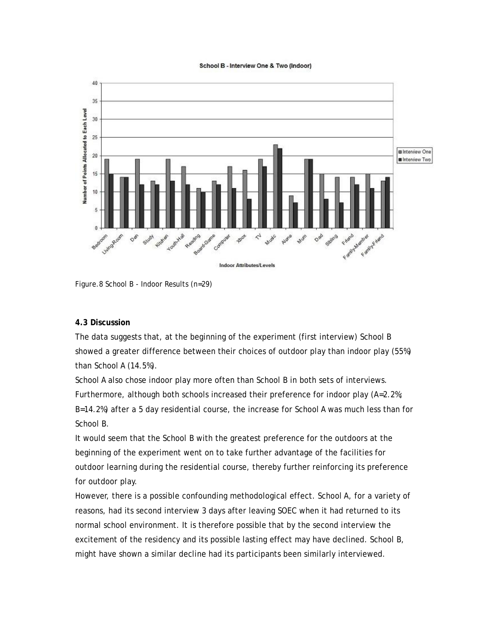#### School B - Interview One & Two (Indoor)



Figure.8 School B - Indoor Results (n=29)

## **4.3 Discussion**

The data suggests that, at the beginning of the experiment (first interview) School B showed a greater difference between their choices of outdoor play than indoor play (55%) than School A (14.5%).

School A also chose indoor play more often than School B in both sets of interviews. Furthermore, although both schools increased their preference for indoor play (A=2.2%; B=14.2%) after a 5 day residential course, the increase for School A was much less than for School B.

It would seem that the School B with the greatest preference for the outdoors at the beginning of the experiment went on to take further advantage of the facilities for outdoor learning during the residential course, thereby further reinforcing its preference for outdoor play.

However, there is a possible confounding methodological effect. School A, for a variety of reasons, had its second interview 3 days after leaving SOEC when it had returned to its normal school environment. It is therefore possible that by the second interview the excitement of the residency and its possible lasting effect may have declined. School B, might have shown a similar decline had its participants been similarly interviewed.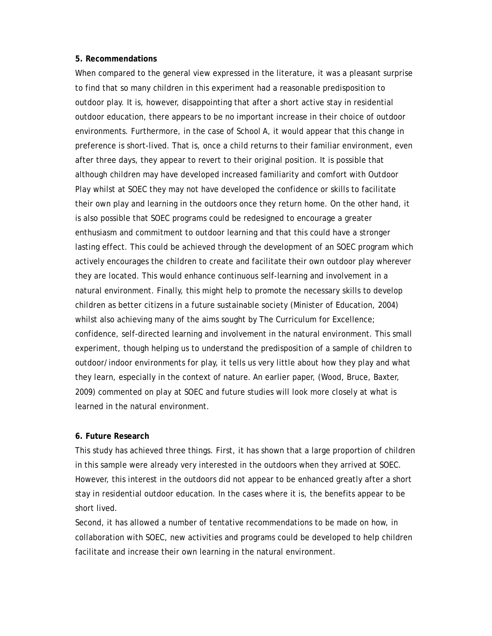#### **5. Recommendations**

When compared to the general view expressed in the literature, it was a pleasant surprise to find that so many children in this experiment had a reasonable predisposition to outdoor play. It is, however, disappointing that after a short active stay in residential outdoor education, there appears to be no important increase in their choice of outdoor environments. Furthermore, in the case of School A, it would appear that this change in preference is short-lived. That is, once a child returns to their familiar environment, even after three days, they appear to revert to their original position. It is possible that although children may have developed increased familiarity and comfort with Outdoor Play whilst at SOEC they may not have developed the confidence or skills to facilitate their own play and learning in the outdoors once they return home. On the other hand, it is also possible that SOEC programs could be redesigned to encourage a greater enthusiasm and commitment to outdoor learning and that this could have a stronger lasting effect. This could be achieved through the development of an SOEC program which actively encourages the children to create and facilitate their own outdoor play wherever they are located. This would enhance continuous self-learning and involvement in a natural environment. Finally, this might help to promote the necessary skills to develop children as better citizens in a future sustainable society (Minister of Education, 2004) whilst also achieving many of the aims sought by The Curriculum for Excellence; confidence, self-directed learning and involvement in the natural environment. This small experiment, though helping us to understand the predisposition of a sample of children to outdoor/indoor environments for play, it tells us very little about how they play and what they learn, especially in the context of nature. An earlier paper, (Wood, Bruce, Baxter, 2009) commented on play at SOEC and future studies will look more closely at what is learned in the natural environment.

### **6. Future Research**

This study has achieved three things. First, it has shown that a large proportion of children in this sample were already very interested in the outdoors when they arrived at SOEC. However, this interest in the outdoors did not appear to be enhanced greatly after a short stay in residential outdoor education. In the cases where it is, the benefits appear to be short lived.

Second, it has allowed a number of tentative recommendations to be made on how, in collaboration with SOEC, new activities and programs could be developed to help children facilitate and increase their own learning in the natural environment.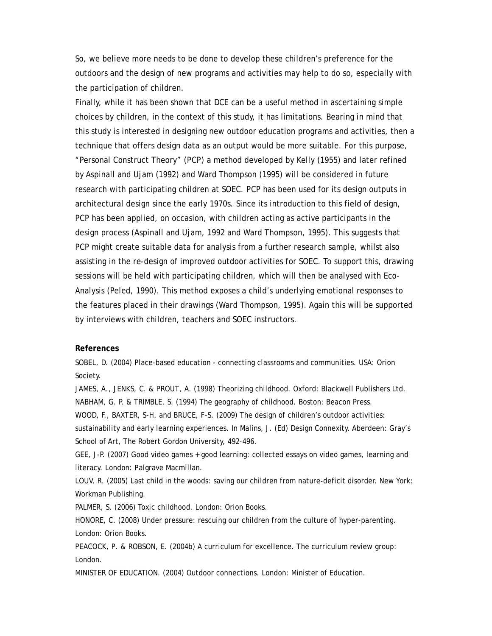So, we believe more needs to be done to develop these children's preference for the outdoors and the design of new programs and activities may help to do so, especially with the participation of children.

Finally, while it has been shown that DCE can be a useful method in ascertaining simple choices by children, in the context of this study, it has limitations. Bearing in mind that this study is interested in designing new outdoor education programs and activities, then a technique that offers design data as an output would be more suitable. For this purpose, "Personal Construct Theory" (PCP) a method developed by Kelly (1955) and later refined by Aspinall and Ujam (1992) and Ward Thompson (1995) will be considered in future research with participating children at SOEC. PCP has been used for its design outputs in architectural design since the early 1970s. Since its introduction to this field of design, PCP has been applied, on occasion, with children acting as active participants in the design process (Aspinall and Ujam, 1992 and Ward Thompson, 1995). This suggests that PCP might create suitable data for analysis from a further research sample, whilst also assisting in the re-design of improved outdoor activities for SOEC. To support this, drawing sessions will be held with participating children, which will then be analysed with Eco-Analysis (Peled, 1990). This method exposes a child's underlying emotional responses to the features placed in their drawings (Ward Thompson, 1995). Again this will be supported by interviews with children, teachers and SOEC instructors.

#### **References**

SOBEL, D. (2004) Place-based education - connecting classrooms and communities. USA: Orion Society.

JAMES, A., JENKS, C. & PROUT, A. (1998) Theorizing childhood. Oxford: Blackwell Publishers Ltd. NABHAM, G. P. & TRIMBLE, S. (1994) The geography of childhood. Boston: Beacon Press.

WOOD, F., BAXTER, S-H. and BRUCE, F-S. (2009) The design of children's outdoor activities:

sustainability and early learning experiences. In Malins, J. (Ed) Design Connexity. Aberdeen: Gray's School of Art, The Robert Gordon University, 492-496.

GEE, J-P. (2007) Good video games + good learning: collected essays on video games, learning and literacy. London: Palgrave Macmillan.

LOUV, R. (2005) Last child in the woods: saving our children from nature-deficit disorder. New York: Workman Publishing.

PALMER, S. (2006) Toxic childhood. London: Orion Books.

HONORE, C. (2008) Under pressure: rescuing our children from the culture of hyper-parenting. London: Orion Books.

PEACOCK, P. & ROBSON, E. (2004b) A curriculum for excellence. The curriculum review group: London.

MINISTER OF EDUCATION. (2004) Outdoor connections. London: Minister of Education.